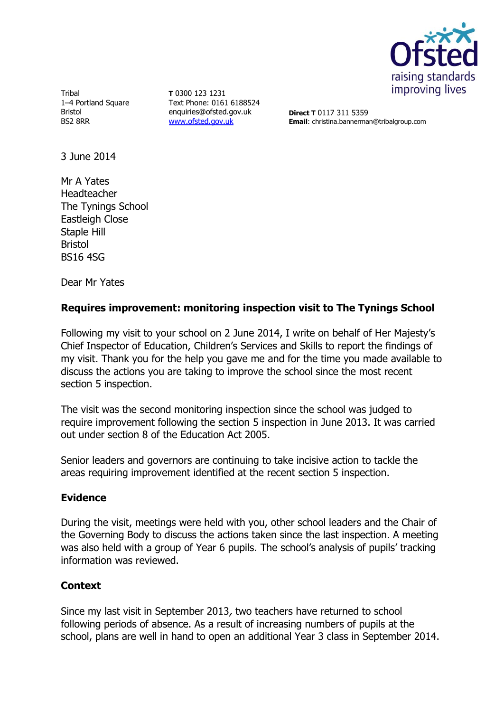

**Tribal** 1–4 Portland Square Bristol BS2 8RR

**T** 0300 123 1231 Text Phone: 0161 6188524 enquiries@ofsted.gov.uk [www.ofsted.gov.uk](http://www.ofsted.gov.uk/)

**Direct T** 0117 311 5359 **Email**: christina.bannerman@tribalgroup.com

3 June 2014

Mr A Yates Headteacher The Tynings School Eastleigh Close Staple Hill Bristol BS16 4SG

Dear Mr Yates

# **Requires improvement: monitoring inspection visit to The Tynings School**

Following my visit to your school on 2 June 2014, I write on behalf of Her Majesty's Chief Inspector of Education, Children's Services and Skills to report the findings of my visit. Thank you for the help you gave me and for the time you made available to discuss the actions you are taking to improve the school since the most recent section 5 inspection.

The visit was the second monitoring inspection since the school was judged to require improvement following the section 5 inspection in June 2013. It was carried out under section 8 of the Education Act 2005.

Senior leaders and governors are continuing to take incisive action to tackle the areas requiring improvement identified at the recent section 5 inspection.

### **Evidence**

During the visit, meetings were held with you, other school leaders and the Chair of the Governing Body to discuss the actions taken since the last inspection. A meeting was also held with a group of Year 6 pupils. The school's analysis of pupils' tracking information was reviewed.

### **Context**

Since my last visit in September 2013, two teachers have returned to school following periods of absence. As a result of increasing numbers of pupils at the school, plans are well in hand to open an additional Year 3 class in September 2014.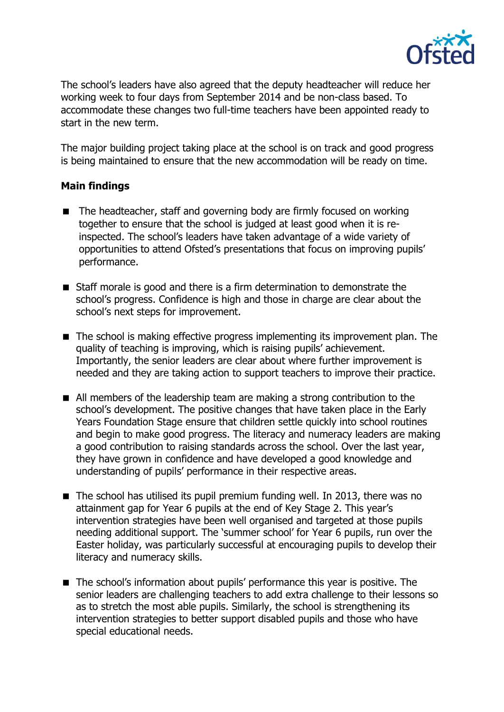

The school's leaders have also agreed that the deputy headteacher will reduce her working week to four days from September 2014 and be non-class based. To accommodate these changes two full-time teachers have been appointed ready to start in the new term.

The major building project taking place at the school is on track and good progress is being maintained to ensure that the new accommodation will be ready on time.

## **Main findings**

- The headteacher, staff and governing body are firmly focused on working together to ensure that the school is judged at least good when it is reinspected. The school's leaders have taken advantage of a wide variety of opportunities to attend Ofsted's presentations that focus on improving pupils' performance.
- Staff morale is good and there is a firm determination to demonstrate the school's progress. Confidence is high and those in charge are clear about the school's next steps for improvement.
- The school is making effective progress implementing its improvement plan. The quality of teaching is improving, which is raising pupils' achievement. Importantly, the senior leaders are clear about where further improvement is needed and they are taking action to support teachers to improve their practice.
- All members of the leadership team are making a strong contribution to the school's development. The positive changes that have taken place in the Early Years Foundation Stage ensure that children settle quickly into school routines and begin to make good progress. The literacy and numeracy leaders are making a good contribution to raising standards across the school. Over the last year, they have grown in confidence and have developed a good knowledge and understanding of pupils' performance in their respective areas.
- $\blacksquare$  The school has utilised its pupil premium funding well. In 2013, there was no attainment gap for Year 6 pupils at the end of Key Stage 2. This year's intervention strategies have been well organised and targeted at those pupils needing additional support. The 'summer school' for Year 6 pupils, run over the Easter holiday, was particularly successful at encouraging pupils to develop their literacy and numeracy skills.
- The school's information about pupils' performance this year is positive. The senior leaders are challenging teachers to add extra challenge to their lessons so as to stretch the most able pupils. Similarly, the school is strengthening its intervention strategies to better support disabled pupils and those who have special educational needs.